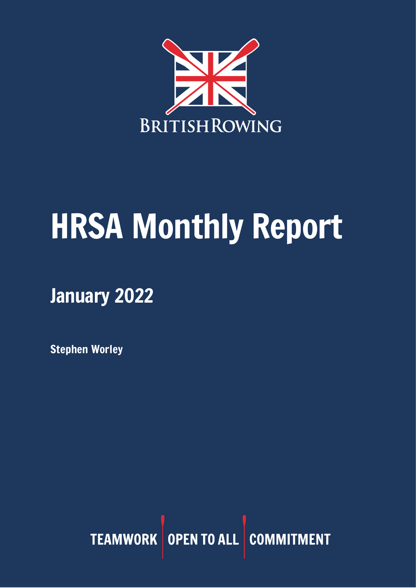

# HRSA Monthly Report

## January 2022

Stephen Worley

TEAMWORK OPEN TO ALL COMMITMENT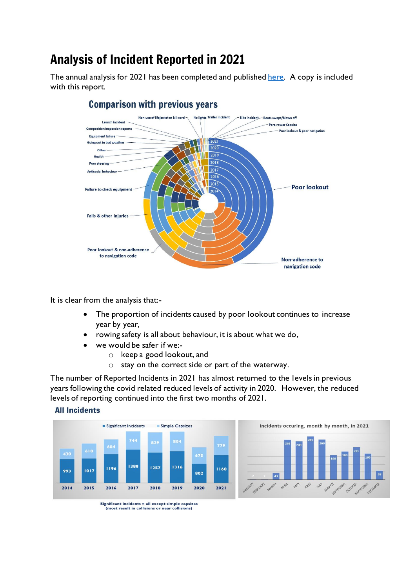## Analysis of Incident Reported in 2021

The annual analysis for 2021 has been completed and publishe[d here.](https://www.britishrowing.org/wp-content/uploads/2022/01/2021-Incident-Analysis-1.pdf) A copy is included with this report.



#### **Comparison with previous years**

It is clear from the analysis that:-

- The proportion of incidents caused by poor lookout continues to increase year by year,
- rowing safety is all about behaviour, it is about what we do,
- we would be safer if we:
	- o keep a good lookout, and
	- o stay on the correct side or part of the waterway.

The number of Reported Incidents in 2021 has almost returned to the levels in previous years following the covid related reduced levels of activity in 2020. However, the reduced levels of reporting continued into the first two months of 2021.

#### **All Incidents**





Significant incidents = all except simple capsizes<br>(most result in collisions or near collisions)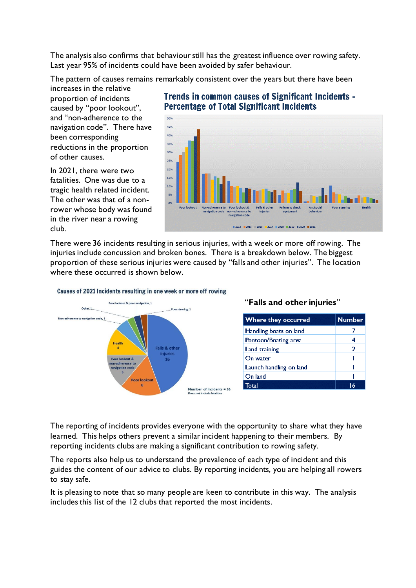The analysis also confirms that behaviour still has the greatest influence over rowing safety. Last year 95% of incidents could have been avoided by safer behaviour.

The pattern of causes remains remarkably consistent over the years but there have been

increases in the relative proportion of incidents caused by "poor lookout", and "non-adherence to the navigation code". There have been corresponding reductions in the proportion of other causes.

In 2021, there were two fatalities. One was due to a tragic health related incident. The other was that of a nonrower whose body was found in the river near a rowing club.

#### **Trends in common causes of Significant Incidents -Percentage of Total Significant Incidents**



There were 36 incidents resulting in serious injuries, with a week or more off rowing. The injuries include concussion and broken bones. There is a breakdown below. The biggest proportion of these serious injuries were caused by "falls and other injuries". The location where these occurred is shown below.



#### Causes of 2021 Incidents resulting in one week or more off rowing

#### "**Falls and other injuries**"

| <b>Where they occurred</b> | <b>Number</b> |
|----------------------------|---------------|
| Handling boats on land     |               |
| Pontoon/Boating area       | 4             |
| <b>Land training</b>       | 2             |
| On water                   |               |
| Launch handling on land    |               |
| On land                    |               |
| Total                      | 16            |

The reporting of incidents provides everyone with the opportunity to share what they have learned. This helps others prevent a similar incident happening to their members. By reporting incidents clubs are making a significant contribution to rowing safety.

The reports also help us to understand the prevalence of each type of incident and this guides the content of our advice to clubs. By reporting incidents, you are helping all rowers to stay safe.

It is pleasing to note that so many people are keen to contribute in this way. The analysis includes this list of the 12 clubs that reported the most incidents.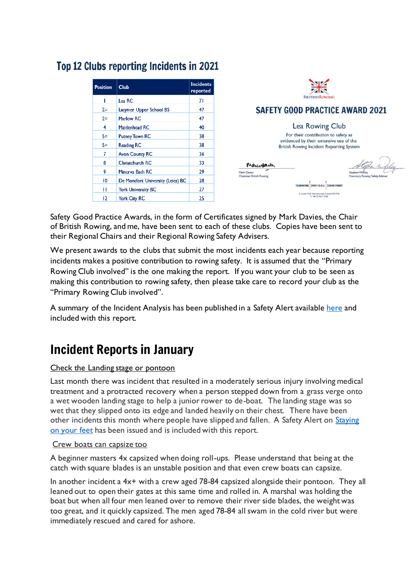#### Top 12 Clubs reporting Incidents in 2021

| <b>Position</b> | <b>Club</b>                       | <b>Incidents</b><br>reported |
|-----------------|-----------------------------------|------------------------------|
| ı               | Lea RC                            | 71                           |
| $2=$            | Latymer Upper School BS           | 47                           |
| $2=$            | Marlow RC                         | 47                           |
| 4               | Maidenhead RC                     | 40                           |
| $5=$            | <b>Putney Town RC</b>             | 38                           |
| $5 =$           | <b>Reading RC</b>                 | 38                           |
| 7               | <b>Avon County RC</b>             | 36                           |
| 8               | Christchurch RC                   | 33                           |
| 9               | Minerva Bath RC                   | 29                           |
| 10              | De Montfort University (Leics) BC | 28                           |
| п               | <b>York University BC</b>         | 27                           |
| 12              | <b>York City RC</b>               | 25                           |



#### **SAFETY GOOD PRACTICE AWARD 2021**

#### Lea Rowing Club

For their contribution to safety as evidenced by their extensive use of the British Rowing Incident Reporting System

> TEAMWORK OPEN TO ALL COMMITMENT  $6 \text{ Lower Mall, Hammers with, London W6 9D)}\ \text{T:}\ +44\ 20\ 8237\ 6700$

Maursan Mark Davies<br>Chairman British Rowing

Safety Good Practice Awards, in the form of Certificates signed by Mark Davies, the Chair of British Rowing, and me, have been sent to each of these clubs. Copies have been sent to their Regional Chairs and their Regional Rowing Safety Advisers.

We present awards to the clubs that submit the most incidents each year because reporting incidents makes a positive contribution to rowing safety. It is assumed that the "Primary Rowing Club involved" is the one making the report. If you want your club to be seen as making this contribution to rowing safety, then please take care to record your club as the "Primary Rowing Club involved".

A summary of the Incident Analysis has been published in a Safety Alert availabl[e here](https://www.britishrowing.org/wp-content/uploads/2022/01/Safety-Alert-Keep-a-good-lookout-January-2022-1.pdf) and included with this report.

## Incident Reports in January

#### Check the Landing stage or pontoon

Last month there was incident that resulted in a moderately serious injury involving medical treatment and a protracted recovery when a person stepped down from a grass verge onto a wet wooden landing stage to help a junior rower to de-boat. The landing stage was so wet that they slipped onto its edge and landed heavily on their chest. There have been other incidents this month where people have slipped and fallen. A Safety Alert on Staying [on your feet](https://www.britishrowing.org/knowledge/safety/safety-alert-archive/) has been issued and is included with this report.

#### Crew boats can capsize too

A beginner masters 4x capsized when doing roll-ups. Please understand that being at the catch with square blades is an unstable position and that even crew boats can capsize.

In another incident a  $4x+$  with a crew aged 78-84 capsized alongside their pontoon. They all leaned out to open their gates at this same time and rolled in. A marshal was holding the boat but when all four men leaned over to remove their river side blades, the weight was too great, and it quickly capsized. The men aged 78-84 all swam in the cold river but were immediately rescued and cared for ashore.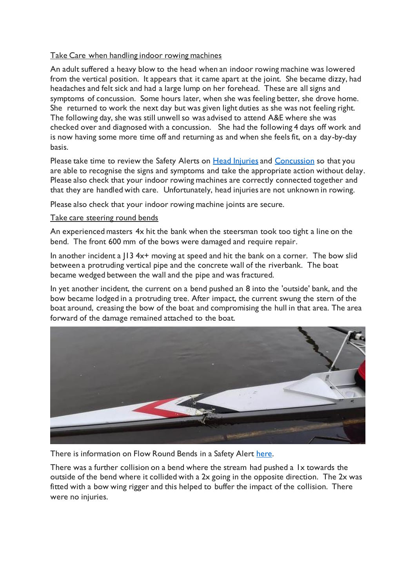#### Take Care when handling indoor rowing machines

An adult suffered a heavy blow to the head when an indoor rowing machine was lowered from the vertical position. It appears that it came apart at the joint. She became dizzy, had headaches and felt sick and had a large lump on her forehead. These are all signs and symptoms of concussion. Some hours later, when she was feeling better, she drove home. She returned to work the next day but was given light duties as she was not feeling right. The following day, she was still unwell so was advised to attend A&E where she was checked over and diagnosed with a concussion. She had the following 4 days off work and is now having some more time off and returning as and when she feels fit, on a day-by-day basis.

Please take time to review the Safety Alerts on [Head Injuries](https://www.britishrowing.org/wp-content/uploads/2018/10/Safety-Alert-Head-Injuries-2018.pdf) and [Concussion](https://www.britishrowing.org/wp-content/uploads/2018/10/Safety-Alert-Concussion.pdf) so that you are able to recognise the signs and symptoms and take the appropriate action without delay. Please also check that your indoor rowing machines are correctly connected together and that they are handled with care. Unfortunately, head injuries are not unknown in rowing.

Please also check that your indoor rowing machine joints are secure.

#### Take care steering round bends

An experienced masters 4x hit the bank when the steersman took too tight a line on the bend. The front 600 mm of the bows were damaged and require repair.

In another incident a  $13$  4x+ moving at speed and hit the bank on a corner. The bow slid between a protruding vertical pipe and the concrete wall of the riverbank. The boat became wedged between the wall and the pipe and was fractured.

In yet another incident, the current on a bend pushed an 8 into the 'outside' bank, and the bow became lodged in a protruding tree. After impact, the current swung the stern of the boat around, creasing the bow of the boat and compromising the hull in that area. The area forward of the damage remained attached to the boat.



There is information on Flow Round Bends in a Safety Alert [here.](https://www.britishrowing.org/wp-content/uploads/2019/01/Safety-Alert-Flow-around-bends-in-rivers.pdf)

There was a further collision on a bend where the stream had pushed a 1x towards the outside of the bend where it collided with a 2x going in the opposite direction. The 2x was fitted with a bow wing rigger and this helped to buffer the impact of the collision. There were no injuries.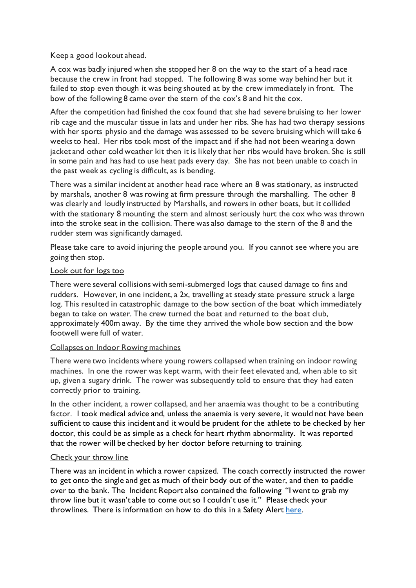#### Keep a good lookout ahead.

A cox was badly injured when she stopped her 8 on the way to the start of a head race because the crew in front had stopped. The following 8 was some way behind her but it failed to stop even though it was being shouted at by the crew immediately in front. The bow of the following 8 came over the stern of the cox's 8 and hit the cox.

After the competition had finished the cox found that she had severe bruising to her lower rib cage and the muscular tissue in lats and under her ribs. She has had two therapy sessions with her sports physio and the damage was assessed to be severe bruising which will take 6 weeks to heal. Her ribs took most of the impact and if she had not been wearing a down jacket and other cold weather kit then it is likely that her ribs would have broken. She is still in some pain and has had to use heat pads every day. She has not been unable to coach in the past week as cycling is difficult, as is bending.

There was a similar incident at another head race where an 8 was stationary, as instructed by marshals, another 8 was rowing at firm pressure through the marshalling. The other 8 was clearly and loudly instructed by Marshalls, and rowers in other boats, but it collided with the stationary 8 mounting the stern and almost seriously hurt the cox who was thrown into the stroke seat in the collision. There was also damage to the stern of the 8 and the rudder stem was significantly damaged.

Please take care to avoid injuring the people around you. If you cannot see where you are going then stop.

#### Look out for logs too

There were several collisions with semi-submerged logs that caused damage to fins and rudders. However, in one incident, a 2x, travelling at steady state pressure struck a large log. This resulted in catastrophic damage to the bow section of the boat which immediately began to take on water. The crew turned the boat and returned to the boat club, approximately 400m away. By the time they arrived the whole bow section and the bow footwell were full of water.

#### Collapses on Indoor Rowing machines

There were two incidents where young rowers collapsed when training on indoor rowing machines. In one the rower was kept warm, with their feet elevated and, when able to sit up, given a sugary drink. The rower was subsequently told to ensure that they had eaten correctly prior to training.

In the other incident, a rower collapsed, and her anaemia was thought to be a contributing factor. I took medical advice and, unless the anaemia is very severe, it would not have been sufficient to cause this incident and it would be prudent for the athlete to be checked by her doctor, this could be as simple as a check for heart rhythm abnormality. It was reported that the rower will be checked by her doctor before returning to training.

#### Check your throw line

There was an incident in which a rower capsized. The coach correctly instructed the rower to get onto the single and get as much of their body out of the water, and then to paddle over to the bank. The Incident Report also contained the following "I went to grab my throw line but it wasn't able to come out so I couldn't use it." Please check your throwlines. There is information on how to do this in a Safety Aler[t here.](https://www.britishrowing.org/wp-content/uploads/2015/09/Safety-Alert-2-Oct-2013-Unusable-throw-line-1.pdf)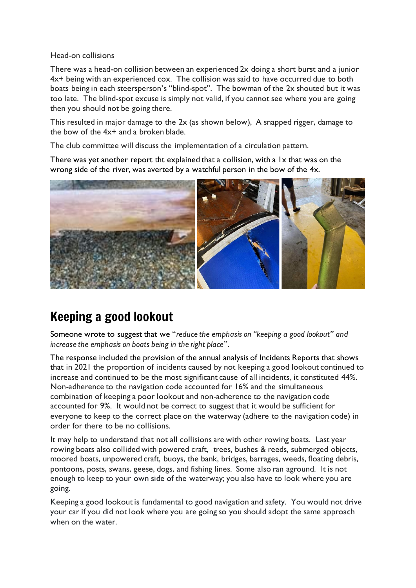#### Head-on collisions

There was a head-on collision between an experienced 2x doing a short burst and a junior 4x+ being with an experienced cox. The collision was said to have occurred due to both boats being in each steersperson's "blind-spot". The bowman of the 2x shouted but it was too late. The blind-spot excuse is simply not valid, if you cannot see where you are going then you should not be going there.

This resulted in major damage to the 2x (as shown below), A snapped rigger, damage to the bow of the 4x+ and a broken blade.

The club committee will discuss the implementation of a circulation pattern.

There was yet another report tht explained that a collision, with a 1x that was on the wrong side of the river, was averted by a watchful person in the bow of the 4x.



## Keeping a good lookout

Someone wrote to suggest that we "*reduce the emphasis on "keeping a good lookout" and increase the emphasis on boats being in the right place*".

The response included the provision of the annual analysis of Incidents Reports that shows that in 2021 the proportion of incidents caused by not keeping a good lookout continued to increase and continued to be the most significant cause of all incidents, it constituted 44%. Non-adherence to the navigation code accounted for 16% and the simultaneous combination of keeping a poor lookout and non-adherence to the navigation code accounted for 9%. It would not be correct to suggest that it would be sufficient for everyone to keep to the correct place on the waterway (adhere to the navigation code) in order for there to be no collisions.

It may help to understand that not all collisions are with other rowing boats. Last year rowing boats also collided with powered craft, trees, bushes & reeds, submerged objects, moored boats, unpowered craft, buoys, the bank, bridges, barrages, weeds, floating debris, pontoons, posts, swans, geese, dogs, and fishing lines. Some also ran aground. It is not enough to keep to your own side of the waterway; you also have to look where you are going.

Keeping a good lookout is fundamental to good navigation and safety. You would not drive your car if you did not look where you are going so you should adopt the same approach when on the water.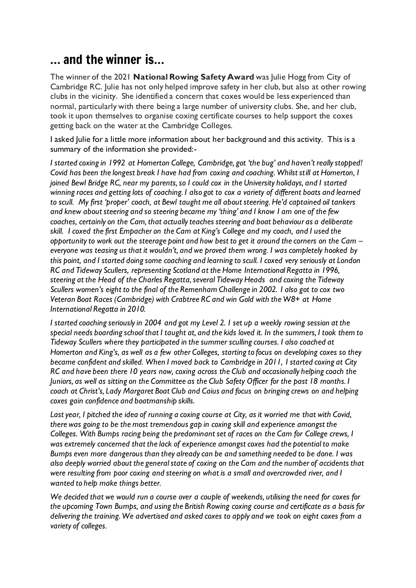## … and the winner is…

The winner of the 2021 **National Rowing Safety Award** was Julie Hogg from City of Cambridge RC. Julie has not only helped improve safety in her club, but also at other rowing clubs in the vicinity. She identified a concern that coxes would be less experienced than normal, particularly with there being a large number of university clubs. She, and her club, took it upon themselves to organise coxing certificate courses to help support the coxes getting back on the water at the Cambridge Colleges.

I asked Julie for a little more information about her background and this activity. This is a summary of the information she provided:-

*I started coxing in 1992 at Homerton College, Cambridge, got 'the bug' and haven't really stopped! Covid has been the longest break I have had from coxing and coaching. Whilst still at Homerton, I joined Bewl Bridge RC, near my parents, so I could cox in the University holidays, and I started winning races and getting lots of coaching. I also got to cox a variety of different boats and learned to scull. My first 'proper' coach, at Bewl taught me all about steering. He'd captained oil tankers and knew about steering and so steering became my 'thing' and I know I am one of the few coaches, certainly on the Cam, that actually teaches steering and boat behaviour as a deliberate skill. I coxed the first Empacher on the Cam at King's College and my coach, and I used the opportunity to work out the steerage point and how best to get it around the corners on the Cam – everyone was teasing us that it wouldn't, and we proved them wrong. I was completely hooked by this point, and I started doing some coaching and learning to scull. I coxed very seriously at London RC and Tideway Scullers, representing Scotland at the Home International Regatta in 1996, steering at the Head of the Charles Regatta, several Tideway Heads and coxing the Tideway Scullers women's eight to the final of the Remenham Challenge in 2002. I also got to cox two Veteran Boat Races (Cambridge) with Crabtree RC and win Gold with the W8+ at Home International Regatta in 2010.* 

*I started coaching seriously in 2004 and got my Level 2. I set up a weekly rowing session at the special needs boarding school that I taught at, and the kids loved it. In the summers, I took them to Tideway Scullers where they participated in the summer sculling courses. I also coached at Homerton and King's, as well as a few other Colleges, starting to focus on developing coxes so they became confident and skilled. When I moved back to Cambridge in 2011, I started coxing at City RC and have been there 10 years now, coxing across the Club and occasionally helping coach the Juniors, as well as sitting on the Committee as the Club Safety Officer for the past 18 months. I coach at Christ's, Lady Margaret Boat Club and Caius and focus on bringing crews on and helping coxes gain confidence and boatmanship skills.*

*Last year, I pitched the idea of running a coxing course at City, as it worried me that with Covid, there was going to be the most tremendous gap in coxing skill and experience amongst the Colleges. With Bumps racing being the predominant set of races on the Cam for College crews, I was extremely concerned that the lack of experience amongst coxes had the potential to make Bumps even more dangerous than they already can be and something needed to be done. I was also deeply worried about the general state of coxing on the Cam and the number of accidents that were resulting from poor coxing and steering on what is a small and overcrowded river, and I wanted to help make things better.* 

*We decided that we would run a course over a couple of weekends, utilising the need for coxes for the upcoming Town Bumps, and using the British Rowing coxing course and certificate as a basis for delivering the training. We advertised and asked coxes to apply and we took on eight coxes from a variety of colleges.*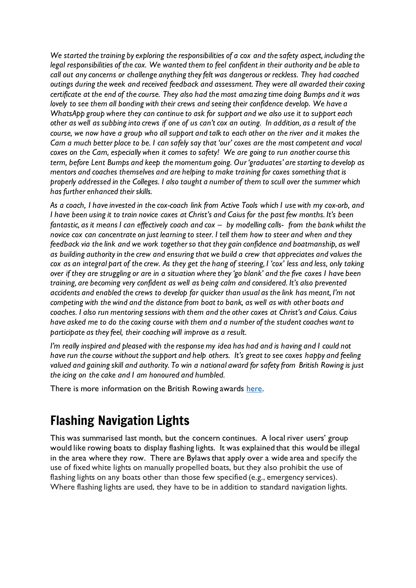*We started the training by exploring the responsibilities of a cox and the safety aspect, including the legal responsibilities of the cox. We wanted them to feel confident in their authority and be able to call out any concerns or challenge anything they felt was dangerous or reckless. They had coached outings during the week and received feedback and assessment. They were all awarded their coxing certificate at the end of the course. They also had the most amazing time doing Bumps and it was lovely to see them all bonding with their crews and seeing their confidence develop. We have a WhatsApp group where they can continue to ask for support and we also use it to support each other as well as subbing into crews if one of us can't cox an outing. In addition, as a result of the course, we now have a group who all support and talk to each other on the river and it makes the Cam a much better place to be. I can safely say that 'our' coxes are the most competent and vocal coxes on the Cam, especially when it comes to safety! We are going to run another course this term, before Lent Bumps and keep the momentum going. Our 'graduates' are starting to develop as mentors and coaches themselves and are helping to make training for coxes something that is properly addressed in the Colleges. I also taught a number of them to scull over the summer which has further enhanced their skills.*

*As a coach, I have invested in the cox-coach link from Active Tools which I use with my cox-orb, and I have been using it to train novice coxes at Christ's and Caius for the past few months. It's been fantastic, as it means I can effectively coach and cox – by modelling calls- from the bank whilst the novice cox can concentrate on just learning to steer. I tell them how to steer and when and they feedback via the link and we work together so that they gain confidence and boatmanship, as well as building authority in the crew and ensuring that we build a crew that appreciates and values the cox as an integral part of the crew. As they get the hang of steering, I 'cox' less and less, only taking over if they are struggling or are in a situation where they 'go blank' and the five coxes I have been training, are becoming very confident as well as being calm and considered. It's also prevented accidents and enabled the crews to develop far quicker than usual as the link has meant, I'm not competing with the wind and the distance from boat to bank, as well as with other boats and coaches. I also run mentoring sessions with them and the other coxes at Christ's and Caius. Caius have asked me to do the coxing course with them and a number of the student coaches want to participate as they feel, their coaching will improve as a result.* 

*I'm really inspired and pleased with the response my idea has had and is having and I could not have run the course without the support and help others. It's great to see coxes happy and feeling valued and gaining skill and authority. To win a national award for safety from British Rowing is just the icing on the cake and I am honoured and humbled.*

There is more information on the British Rowing awards [here.](https://www.britishrowing.org/2022/01/winners-honoured-from-across-the-country-at-2021-british-rowing-awards/)

## Flashing Navigation Lights

This was summarised last month, but the concern continues. A local river users' group would like rowing boats to display flashing lights. It was explained that this would be illegal in the area where they row. There are Bylaws that apply over a wide area and specify the use of fixed white lights on manually propelled boats, but they also prohibit the use of flashing lights on any boats other than those few specified (e.g., emergency services). Where flashing lights are used, they have to be in addition to standard navigation lights.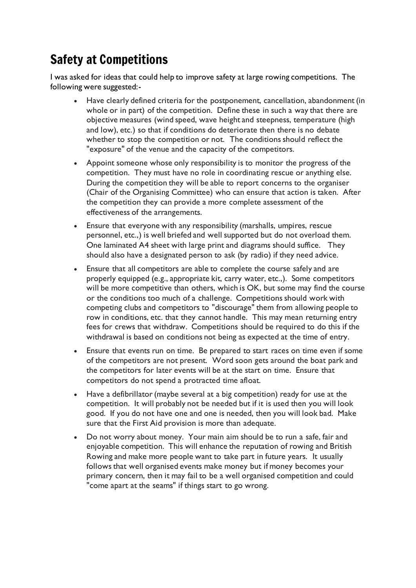## Safety at Competitions

I was asked for ideas that could help to improve safety at large rowing competitions. The following were suggested:-

- Have clearly defined criteria for the postponement, cancellation, abandonment (in whole or in part) of the competition. Define these in such a way that there are objective measures (wind speed, wave height and steepness, temperature (high and low), etc.) so that if conditions do deteriorate then there is no debate whether to stop the competition or not. The conditions should reflect the "exposure" of the venue and the capacity of the competitors.
- Appoint someone whose only responsibility is to monitor the progress of the competition. They must have no role in coordinating rescue or anything else. During the competition they will be able to report concerns to the organiser (Chair of the Organising Committee) who can ensure that action is taken. After the competition they can provide a more complete assessment of the effectiveness of the arrangements.
- Ensure that everyone with any responsibility (marshalls, umpires, rescue personnel, etc.,) is well briefed and well supported but do not overload them. One laminated A4 sheet with large print and diagrams should suffice. They should also have a designated person to ask (by radio) if they need advice.
- Ensure that all competitors are able to complete the course safely and are properly equipped (e.g., appropriate kit, carry water, etc.,). Some competitors will be more competitive than others, which is OK, but some may find the course or the conditions too much of a challenge. Competitions should work with competing clubs and competitors to "discourage" them from allowing people to row in conditions, etc. that they cannot handle. This may mean returning entry fees for crews that withdraw. Competitions should be required to do this if the withdrawal is based on conditions not being as expected at the time of entry.
- Ensure that events run on time. Be prepared to start races on time even if some of the competitors are not present. Word soon gets around the boat park and the competitors for later events will be at the start on time. Ensure that competitors do not spend a protracted time afloat.
- Have a defibrillator (maybe several at a big competition) ready for use at the competition. It will probably not be needed but if it is used then you will look good. If you do not have one and one is needed, then you will look bad. Make sure that the First Aid provision is more than adequate.
- Do not worry about money. Your main aim should be to run a safe, fair and enjoyable competition. This will enhance the reputation of rowing and British Rowing and make more people want to take part in future years. It usually follows that well organised events make money but if money becomes your primary concern, then it may fail to be a well organised competition and could "come apart at the seams" if things start to go wrong.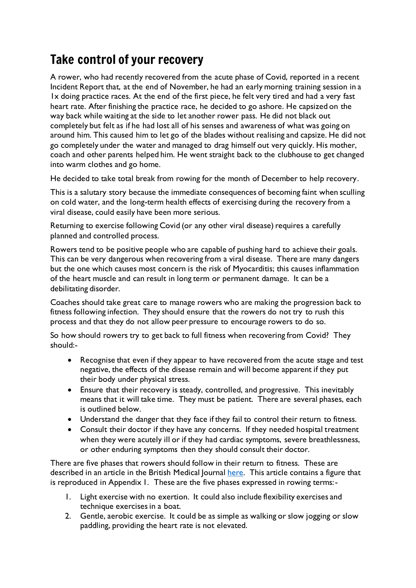## Take control of your recovery

A rower, who had recently recovered from the acute phase of Covid, reported in a recent Incident Report that, at the end of November, he had an early morning training session in a 1x doing practice races. At the end of the first piece, he felt very tired and had a very fast heart rate. After finishing the practice race, he decided to go ashore. He capsized on the way back while waiting at the side to let another rower pass. He did not black out completely but felt as if he had lost all of his senses and awareness of what was going on around him. This caused him to let go of the blades without realising and capsize. He did not go completely under the water and managed to drag himself out very quickly. His mother, coach and other parents helped him. He went straight back to the clubhouse to get changed into warm clothes and go home.

He decided to take total break from rowing for the month of December to help recovery.

This is a salutary story because the immediate consequences of becoming faint when sculling on cold water, and the long-term health effects of exercising during the recovery from a viral disease, could easily have been more serious.

Returning to exercise following Covid (or any other viral disease) requires a carefully planned and controlled process.

Rowers tend to be positive people who are capable of pushing hard to achieve their goals. This can be very dangerous when recovering from a viral disease. There are many dangers but the one which causes most concern is the risk of Myocarditis; this causes inflammation of the heart muscle and can result in long term or permanent damage. It can be a debilitating disorder.

Coaches should take great care to manage rowers who are making the progression back to fitness following infection. They should ensure that the rowers do not try to rush this process and that they do not allow peer pressure to encourage rowers to do so.

So how should rowers try to get back to full fitness when recovering from Covid? They should:-

- Recognise that even if they appear to have recovered from the acute stage and test negative, the effects of the disease remain and will become apparent if they put their body under physical stress.
- Ensure that their recovery is steady, controlled, and progressive. This inevitably means that it will take time. They must be patient. There are several phases, each is outlined below.
- Understand the danger that they face if they fail to control their return to fitness.
- Consult their doctor if they have any concerns. If they needed hospital treatment when they were acutely ill or if they had cardiac symptoms, severe breathlessness, or other enduring symptoms then they should consult their doctor.

There are five phases that rowers should follow in their return to fitness. These are described in an article in the British Medical Journal [here.](https://www.bmj.com/content/bmj/372/bmj.m4721.full.pdf) This article contains a figure that is reproduced in Appendix 1. These are the five phases expressed in rowing terms:-

- 1. Light exercise with no exertion. It could also include flexibility exercises and technique exercises in a boat.
- 2. Gentle, aerobic exercise. It could be as simple as walking or slow jogging or slow paddling, providing the heart rate is not elevated.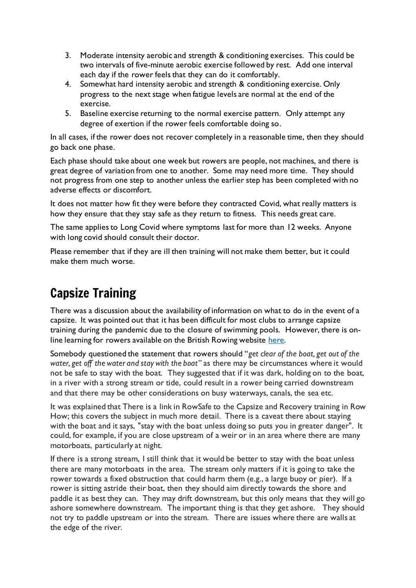- 3. Moderate intensity aerobic and strength & conditioning exercises. This could be two intervals of five-minute aerobic exercise followed by rest. Add one interval each day if the rower feels that they can do it comfortably.
- 4. Somewhat hard intensity aerobic and strength & conditioning exercise. Only progress to the next stage when fatigue levels are normal at the end of the exercise.
- 5. Baseline exercise returning to the normal exercise pattern. Only attempt any degree of exertion if the rower feels comfortable doing so.

In all cases, if the rower does not recover completely in a reasonable time, then they should go back one phase.

Each phase should take about one week but rowers are people, not machines, and there is great degree of variation from one to another. Some may need more time. They should not progress from one step to another unless the earlier step has been completed with no adverse effects or discomfort.

It does not matter how fit they were before they contracted Covid, what really matters is how they ensure that they stay safe as they return to fitness. This needs great care.

The same applies to Long Covid where symptoms last for more than 12 weeks. Anyone with long covid should consult their doctor.

Please remember that if they are ill then training will not make them better, but it could make them much worse.

## Capsize Training

There was a discussion about the availability of information on what to do in the event of a capsize. It was pointed out that it has been difficult for most clubs to arrange capsize training during the pandemic due to the closure of swimming pools. However, there is online learning for rowers available on the British Rowing website [here.](https://www.rowhow.org/mod/book/view.php?id=6346)

Somebody questioned the statement that rowers should "*get clear of the boat, get out of the water, get off the water and stay with the boat*" as there may be circumstances where it would not be safe to stay with the boat. They suggested that if it was dark, holding on to the boat, in a river with a strong stream or tide, could result in a rower being carried downstream and that there may be other considerations on busy waterways, canals, the sea etc.

It was explained that There is a link in RowSafe to the Capsize and Recovery training in Row How; this covers the subject in much more detail. There is a caveat there about staying with the boat and it says, "stay with the boat unless doing so puts you in greater danger". It could, for example, if you are close upstream of a weir or in an area where there are many motorboats, particularly at night.

If there is a strong stream, I still think that it would be better to stay with the boat unless there are many motorboats in the area. The stream only matters if it is going to take the rower towards a fixed obstruction that could harm them (e.g., a large buoy or pier). If a rower is sitting astride their boat, then they should aim directly towards the shore and paddle it as best they can. They may drift downstream, but this only means that they will go ashore somewhere downstream. The important thing is that they get ashore. They should not try to paddle upstream or into the stream. There are issues where there are walls at the edge of the river.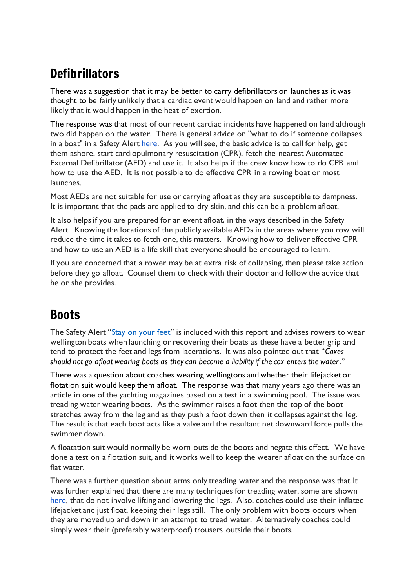## **Defibrillators**

There was a suggestion that it may be better to carry defibrillators on launches as it was thought to be fairly unlikely that a cardiac event would happen on land and rather more likely that it would happen in the heat of exertion.

The response was that most of our recent cardiac incidents have happened on land although two did happen on the water. There is general advice on "what to do if someone collapses in a boat" in a Safety Alert [here.](https://www.britishrowing.org/wp-content/uploads/2019/02/Safety-Alert-What-to-do-if-a-rower-collapses-in-a-boat.pdf) As you will see, the basic advice is to call for help, get them ashore, start cardiopulmonary resuscitation (CPR), fetch the nearest Automated External Defibrillator (AED) and use it. It also helps if the crew know how to do CPR and how to use the AED. It is not possible to do effective CPR in a rowing boat or most launches.

Most AEDs are not suitable for use or carrying afloat as they are susceptible to dampness. It is important that the pads are applied to dry skin, and this can be a problem afloat.

It also helps if you are prepared for an event afloat, in the ways described in the Safety Alert. Knowing the locations of the publicly available AEDs in the areas where you row will reduce the time it takes to fetch one, this matters. Knowing how to deliver effective CPR and how to use an AED is a life skill that everyone should be encouraged to learn.

If you are concerned that a rower may be at extra risk of collapsing, then please take action before they go afloat. Counsel them to check with their doctor and follow the advice that he or she provides.

## Boots

The Safety Alert "[Stay on your feet](https://www.britishrowing.org/wp-content/uploads/2022/01/Safety-Alert-Stay-on-your-feet-January-2022-1.pdf)" is included with this report and advises rowers to wear wellington boats when launching or recovering their boats as these have a better grip and tend to protect the feet and legs from lacerations. It was also pointed out that "*Coxes should not go afloat wearing boots as they can become a liability if the cox enters the water*."

There was a question about coaches wearing wellingtons and whether their lifejacket or flotation suit would keep them afloat. The response was that many years ago there was an article in one of the yachting magazines based on a test in a swimming pool. The issue was treading water wearing boots. As the swimmer raises a foot then the top of the boot stretches away from the leg and as they push a foot down then it collapses against the leg. The result is that each boot acts like a valve and the resultant net downward force pulls the swimmer down.

A floatation suit would normally be worn outside the boots and negate this effect. We have done a test on a flotation suit, and it works well to keep the wearer afloat on the surface on flat water.

There was a further question about arms only treading water and the response was that It was further explained that there are many techniques for treading water, some are shown [here,](https://www.wikihow.com/Tread-Water#:~:text=To%20tread%20water%2C%20keep%20your,motion%2C%20keeping%20your%20feet%20stiff.) that do not involve lifting and lowering the legs. Also, coaches could use their inflated lifejacket and just float, keeping their legsstill. The only problem with boots occurs when they are moved up and down in an attempt to tread water. Alternatively coaches could simply wear their (preferably waterproof) trousers outside their boots.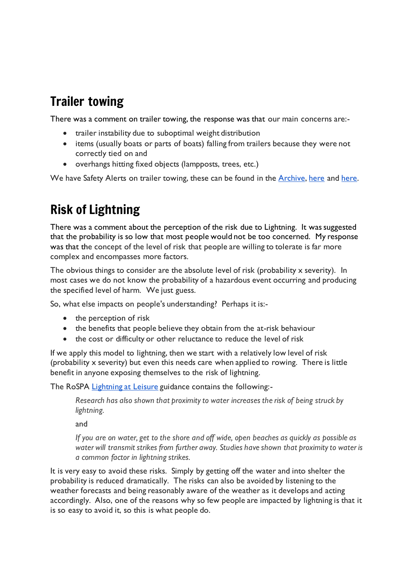## Trailer towing

There was a comment on trailer towing, the response was that our main concerns are:-

- trailer instability due to suboptimal weight distribution
- items (usually boats or parts of boats) falling from trailers because they were not correctly tied on and
- overhangs hitting fixed objects (lampposts, trees, etc.)

We have Safety Alerts on trailer towing, these can be found in the [Archive,](https://www.britishrowing.org/knowledge/safety/safety-alert-archive/) [here](https://www.britishrowing.org/wp-content/uploads/2019/04/Safety-Alert-check-your-trailer.pdf) and [here.](https://www.britishrowing.org/wp-content/uploads/2015/09/Safety-Alert-2014-Trailer-Towing.pdf)

## Risk of Lightning

There was a comment about the perception of the risk due to Lightning. It was suggested that the probability is so low that most people would not be too concerned. My response was that the concept of the level of risk that people are willing to tolerate is far more complex and encompasses more factors.

The obvious things to consider are the absolute level of risk (probability  $x$  severity). In most cases we do not know the probability of a hazardous event occurring and producing the specified level of harm. We just guess.

So, what else impacts on people's understanding? Perhaps it is:-

- the perception of risk
- the benefits that people believe they obtain from the at-risk behaviour
- the cost or difficulty or other reluctance to reduce the level of risk

If we apply this model to lightning, then we start with a relatively low level of risk (probability x severity) but even this needs care when applied to rowing. There is little benefit in anyone exposing themselves to the risk of lightning.

The RoSPA [Lightning](https://www.rospa.com/leisure-water-safety/leisure-safety/lightning) at Leisure guidance contains the following:-

*Research has also shown that proximity to water increases the risk of being struck by lightning.*

and

*If you are on water, get to the shore and off wide, open beaches as quickly as possible as water will transmit strikes from further away. Studies have shown that proximity to water is a common factor in lightning strikes.*

It is very easy to avoid these risks. Simply by getting off the water and into shelter the probability is reduced dramatically. The risks can also be avoided by listening to the weather forecasts and being reasonably aware of the weather as it develops and acting accordingly. Also, one of the reasons why so few people are impacted by lightning is that it is so easy to avoid it, so this is what people do.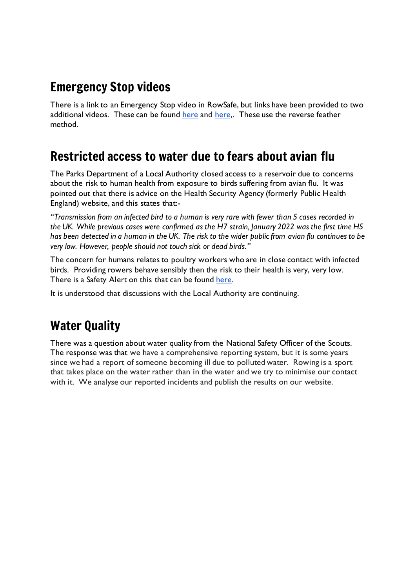## Emergency Stop videos

There is a link to an Emergency Stop video in RowSafe, but links have been provided to two additional videos. These can be found [here](https://www.youtube.com/watch?v=w-XaE0c36TM) and [here,](https://www.youtube.com/watch?v=xTiaL-vMziw). These use the reverse feather method.

## Restricted access to water due to fears about avian flu

The Parks Department of a Local Authority closed access to a reservoir due to concerns about the risk to human health from exposure to birds suffering from avian flu. It was pointed out that there is advice on the Health Security Agency (formerly Public Health England) website, and this states that:-

*"Transmission from an infected bird to a human is very rare with fewer than 5 cases recorded in the UK. While previous cases were confirmed as the H7 strain, January 2022 was the first time H5 has been detected in a human in the UK. The risk to the wider public from avian flu continues to be very low. However, people should not touch sick or dead birds."*

The concern for humans relates to poultry workers who are in close contact with infected birds. Providing rowers behave sensibly then the risk to their health is very, very low. There is a Safety Alert on this that can be found [here.](https://www.britishrowing.org/wp-content/uploads/2021/11/Safety-Alert-Avian-Influenza-November-2021.pdf)

It is understood that discussions with the Local Authority are continuing.

## Water Quality

There was a question about water quality from the National Safety Officer of the Scouts. The response was that we have a comprehensive reporting system, but it is some years since we had a report of someone becoming ill due to polluted water. Rowing is a sport that takes place on the water rather than in the water and we try to minimise our contact with it. We analyse our reported incidents and publish the results on our website.